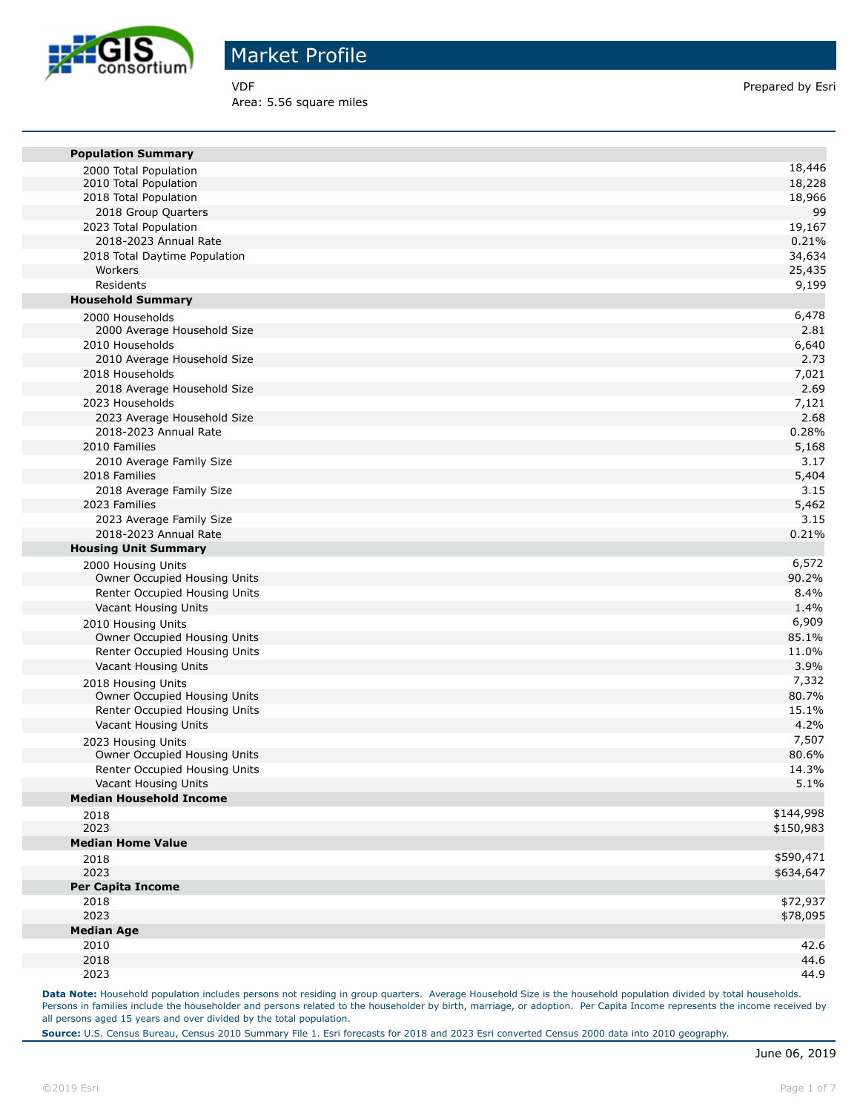

Area: 5.56 square miles

VDF **Prepared by Esri** 

| <b>Population Summary</b>                             |               |
|-------------------------------------------------------|---------------|
|                                                       | 18,446        |
| 2000 Total Population<br>2010 Total Population        | 18,228        |
| 2018 Total Population                                 | 18,966        |
| 2018 Group Quarters                                   | 99            |
| 2023 Total Population                                 | 19,167        |
| 2018-2023 Annual Rate                                 | 0.21%         |
| 2018 Total Daytime Population                         | 34,634        |
| Workers                                               | 25,435        |
| Residents                                             | 9,199         |
| <b>Household Summary</b>                              |               |
| 2000 Households                                       | 6,478         |
| 2000 Average Household Size                           | 2.81          |
| 2010 Households                                       | 6,640         |
| 2010 Average Household Size                           | 2.73          |
| 2018 Households                                       | 7,021         |
| 2018 Average Household Size                           | 2.69          |
| 2023 Households                                       | 7,121         |
| 2023 Average Household Size                           | 2.68          |
| 2018-2023 Annual Rate                                 | 0.28%         |
| 2010 Families                                         | 5,168         |
| 2010 Average Family Size                              | 3.17          |
| 2018 Families                                         | 5,404         |
| 2018 Average Family Size                              | 3.15          |
| 2023 Families                                         | 5,462         |
| 2023 Average Family Size                              | 3.15          |
| 2018-2023 Annual Rate                                 | 0.21%         |
| <b>Housing Unit Summary</b>                           |               |
| 2000 Housing Units                                    | 6,572         |
| Owner Occupied Housing Units                          | 90.2%         |
| Renter Occupied Housing Units                         | 8.4%          |
| Vacant Housing Units                                  | 1.4%          |
| 2010 Housing Units                                    | 6,909         |
| Owner Occupied Housing Units                          | 85.1%         |
| Renter Occupied Housing Units                         | 11.0%         |
| Vacant Housing Units                                  | 3.9%<br>7,332 |
| 2018 Housing Units                                    | 80.7%         |
| Owner Occupied Housing Units                          | 15.1%         |
| Renter Occupied Housing Units<br>Vacant Housing Units | 4.2%          |
|                                                       | 7,507         |
| 2023 Housing Units<br>Owner Occupied Housing Units    | 80.6%         |
| Renter Occupied Housing Units                         | 14.3%         |
| Vacant Housing Units                                  | 5.1%          |
| <b>Median Household Income</b>                        |               |
| 2018                                                  | \$144,998     |
| 2023                                                  | \$150,983     |
| <b>Median Home Value</b>                              |               |
| 2018                                                  | \$590,471     |
| 2023                                                  | \$634,647     |
| <b>Per Capita Income</b>                              |               |
| 2018                                                  | \$72,937      |
| 2023                                                  | \$78,095      |
| <b>Median Age</b>                                     |               |
| 2010                                                  | 42.6          |
| 2018                                                  | 44.6          |
| 2023                                                  | 44.9          |
|                                                       |               |

Data Note: Household population includes persons not residing in group quarters. Average Household Size is the household population divided by total households. Persons in families include the householder and persons related to the householder by birth, marriage, or adoption. Per Capita Income represents the income received by all persons aged 15 years and over divided by the total population.

**Source:** U.S. Census Bureau, Census 2010 Summary File 1. Esri forecasts for 2018 and 2023 Esri converted Census 2000 data into 2010 geography.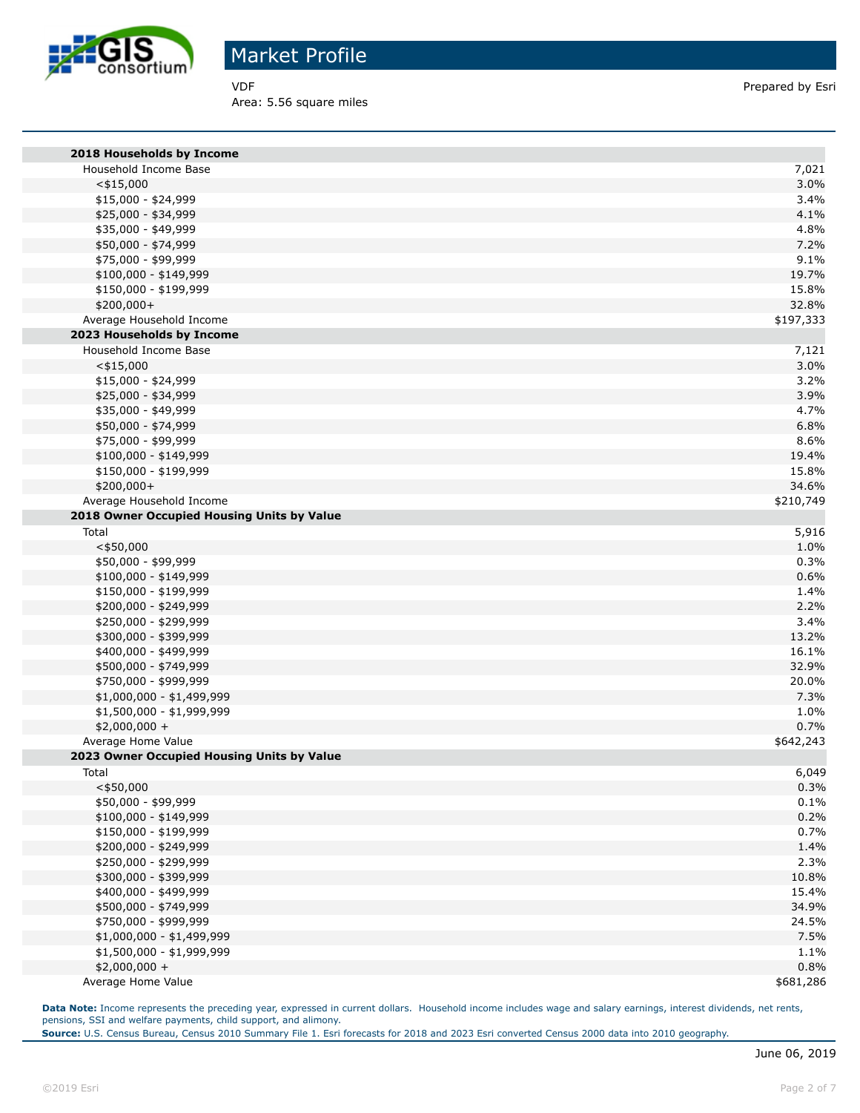

Area: 5.56 square miles

VDF Prepared by Esri

| 2018 Households by Income                  |           |
|--------------------------------------------|-----------|
| Household Income Base                      | 7,021     |
| $<$ \$15,000                               | 3.0%      |
| \$15,000 - \$24,999                        | 3.4%      |
| \$25,000 - \$34,999                        | 4.1%      |
| \$35,000 - \$49,999                        | 4.8%      |
| \$50,000 - \$74,999                        | 7.2%      |
| \$75,000 - \$99,999                        | 9.1%      |
| $$100,000 - $149,999$                      | 19.7%     |
| \$150,000 - \$199,999                      | 15.8%     |
| \$200,000+                                 | 32.8%     |
| Average Household Income                   | \$197,333 |
| 2023 Households by Income                  |           |
| Household Income Base                      | 7,121     |
| $<$ \$15,000                               | 3.0%      |
| \$15,000 - \$24,999                        | 3.2%      |
| \$25,000 - \$34,999                        | 3.9%      |
| \$35,000 - \$49,999                        | 4.7%      |
| \$50,000 - \$74,999                        | 6.8%      |
| \$75,000 - \$99,999                        | 8.6%      |
| \$100,000 - \$149,999                      | 19.4%     |
| \$150,000 - \$199,999                      | 15.8%     |
| \$200,000+                                 | 34.6%     |
| Average Household Income                   | \$210,749 |
| 2018 Owner Occupied Housing Units by Value |           |
| Total                                      | 5,916     |
| $<$ \$50,000                               | 1.0%      |
| \$50,000 - \$99,999                        | 0.3%      |
| \$100,000 - \$149,999                      | 0.6%      |
| \$150,000 - \$199,999                      | 1.4%      |
| \$200,000 - \$249,999                      | 2.2%      |
| \$250,000 - \$299,999                      | 3.4%      |
| \$300,000 - \$399,999                      | 13.2%     |
| \$400,000 - \$499,999                      | 16.1%     |
| \$500,000 - \$749,999                      | 32.9%     |
| \$750,000 - \$999,999                      | 20.0%     |
| \$1,000,000 - \$1,499,999                  | 7.3%      |
| \$1,500,000 - \$1,999,999                  | 1.0%      |
| \$2,000,000 +                              | 0.7%      |
| Average Home Value                         | \$642,243 |
| 2023 Owner Occupied Housing Units by Value |           |
| Total                                      | 6,049     |
| $<$ \$50,000                               | 0.3%      |
| \$50,000 - \$99,999                        | 0.1%      |
| \$100,000 - \$149,999                      | 0.2%      |
| \$150,000 - \$199,999                      | 0.7%      |
| \$200,000 - \$249,999                      | 1.4%      |
| \$250,000 - \$299,999                      | 2.3%      |
| \$300,000 - \$399,999                      | 10.8%     |
| \$400,000 - \$499,999                      | 15.4%     |
| \$500,000 - \$749,999                      | 34.9%     |
| \$750,000 - \$999,999                      | 24.5%     |
| \$1,000,000 - \$1,499,999                  | 7.5%      |
| \$1,500,000 - \$1,999,999                  | 1.1%      |
| \$2,000,000 +                              | 0.8%      |
| Average Home Value                         | \$681,286 |

Data Note: Income represents the preceding year, expressed in current dollars. Household income includes wage and salary earnings, interest dividends, net rents, pensions, SSI and welfare payments, child support, and alimony.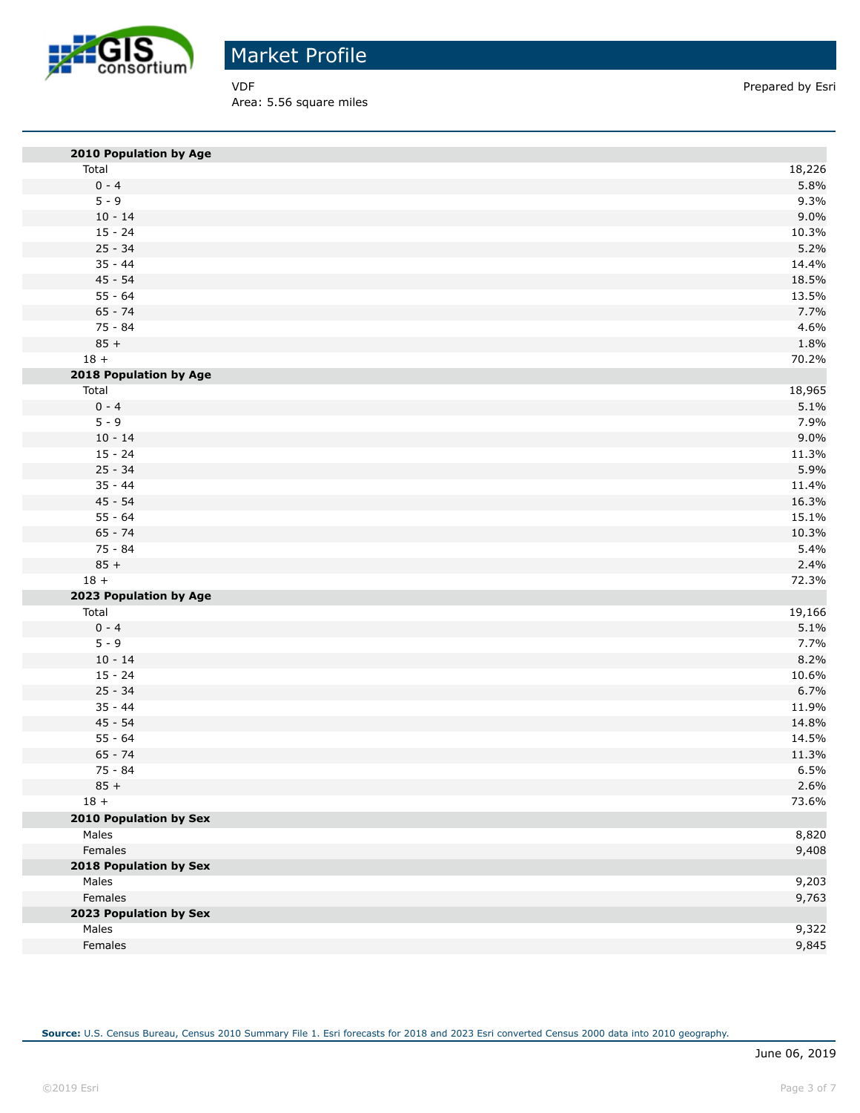

Area: 5.56 square miles

VDF Prepared by Esri

| 2010 Population by Age        |              |
|-------------------------------|--------------|
| Total                         | 18,226       |
| $0 - 4$                       | 5.8%         |
| $5 - 9$                       | 9.3%         |
| $10 - 14$                     | 9.0%         |
| $15 - 24$                     | 10.3%        |
| $25 - 34$                     | 5.2%         |
| $35 - 44$                     | 14.4%        |
| $45 - 54$                     | 18.5%        |
| $55 - 64$                     | 13.5%        |
| $65 - 74$                     | 7.7%         |
| $75 - 84$                     | 4.6%         |
| $85 +$                        | 1.8%         |
| $18 +$                        | 70.2%        |
| 2018 Population by Age        |              |
| Total                         | 18,965       |
| $0 - 4$                       | 5.1%         |
| $5 - 9$                       | 7.9%         |
| $10 - 14$                     | 9.0%         |
| $15 - 24$                     | 11.3%        |
| $25 - 34$                     | 5.9%         |
| $35 - 44$                     | 11.4%        |
| $45 - 54$                     | 16.3%        |
| $55 - 64$                     | 15.1%        |
| $65 - 74$<br>$75 - 84$        | 10.3%        |
| $85 +$                        | 5.4%<br>2.4% |
| $18 +$                        | 72.3%        |
| 2023 Population by Age        |              |
| Total                         | 19,166       |
| $0 - 4$                       | 5.1%         |
| $5 - 9$                       | 7.7%         |
| $10 - 14$                     | 8.2%         |
| $15 - 24$                     | 10.6%        |
| $25 - 34$                     | 6.7%         |
| $35 - 44$                     | 11.9%        |
| $45 - 54$                     | 14.8%        |
| $55 - 64$                     | 14.5%        |
| $65 - 74$                     | 11.3%        |
| 75 - 84                       | 6.5%         |
| $85 +$                        | 2.6%         |
| $18 +$                        | 73.6%        |
| <b>2010 Population by Sex</b> |              |
| Males                         | 8,820        |
| Females                       | 9,408        |
| 2018 Population by Sex        |              |
| Males                         | 9,203        |
| Females                       | 9,763        |
| 2023 Population by Sex        |              |
| Males                         | 9,322        |
| Females                       | 9,845        |
|                               |              |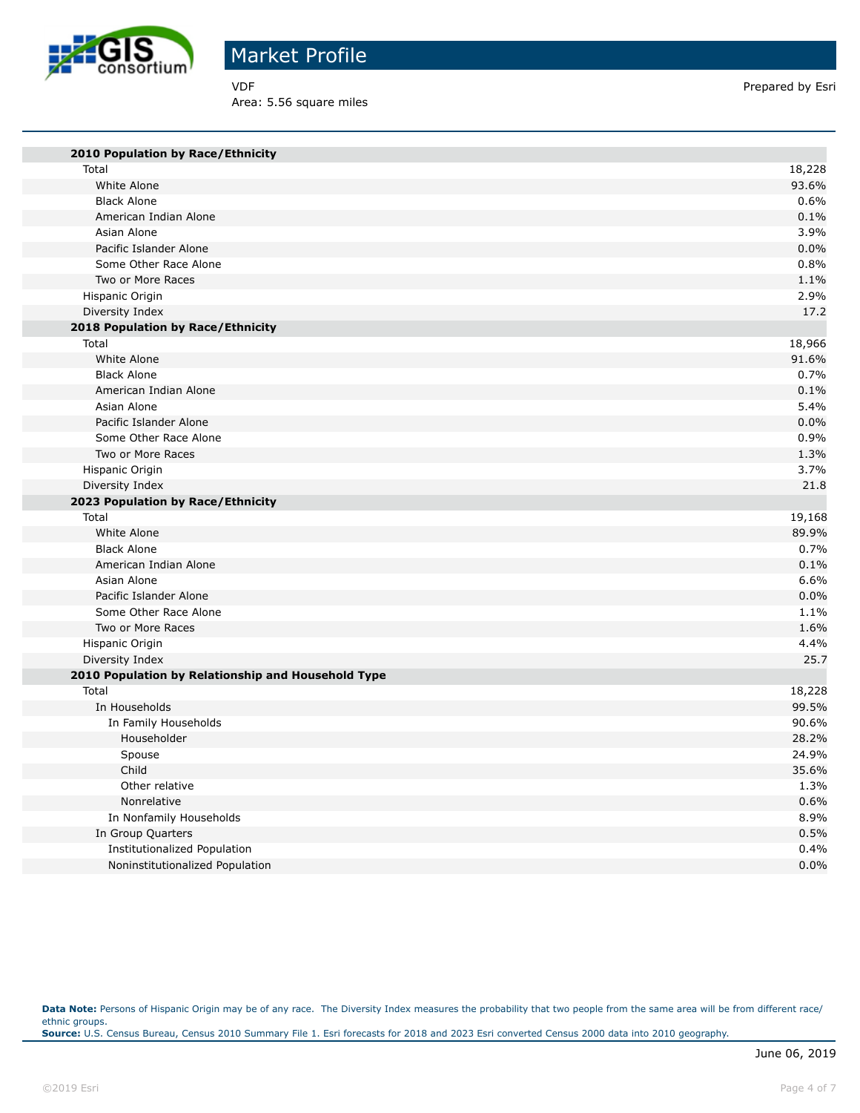

Area: 5.56 square miles

VDF Prepared by Esri

| 2010 Population by Race/Ethnicity                  |        |
|----------------------------------------------------|--------|
| Total                                              | 18,228 |
| White Alone                                        | 93.6%  |
| <b>Black Alone</b>                                 | 0.6%   |
| American Indian Alone                              | 0.1%   |
| Asian Alone                                        | 3.9%   |
| Pacific Islander Alone                             | 0.0%   |
| Some Other Race Alone                              | 0.8%   |
| Two or More Races                                  | 1.1%   |
| Hispanic Origin                                    | 2.9%   |
| Diversity Index                                    | 17.2   |
| 2018 Population by Race/Ethnicity                  |        |
| Total                                              | 18,966 |
| White Alone                                        | 91.6%  |
| <b>Black Alone</b>                                 | 0.7%   |
| American Indian Alone                              | 0.1%   |
| Asian Alone                                        | 5.4%   |
| Pacific Islander Alone                             | 0.0%   |
| Some Other Race Alone                              | 0.9%   |
| Two or More Races                                  | 1.3%   |
| Hispanic Origin                                    | 3.7%   |
| Diversity Index                                    | 21.8   |
| 2023 Population by Race/Ethnicity                  |        |
| Total                                              | 19,168 |
| White Alone                                        | 89.9%  |
| <b>Black Alone</b>                                 | 0.7%   |
| American Indian Alone                              | 0.1%   |
| Asian Alone                                        | 6.6%   |
| Pacific Islander Alone                             | 0.0%   |
| Some Other Race Alone                              | 1.1%   |
| Two or More Races                                  | 1.6%   |
| Hispanic Origin                                    | 4.4%   |
| Diversity Index                                    | 25.7   |
| 2010 Population by Relationship and Household Type |        |
| Total                                              | 18,228 |
| In Households                                      | 99.5%  |
| In Family Households                               | 90.6%  |
| Householder                                        | 28.2%  |
| Spouse                                             | 24.9%  |
| Child                                              | 35.6%  |
| Other relative                                     | 1.3%   |
| Nonrelative                                        | 0.6%   |
| In Nonfamily Households                            | 8.9%   |
| In Group Quarters                                  | 0.5%   |
| Institutionalized Population                       | 0.4%   |
| Noninstitutionalized Population                    | 0.0%   |

Data Note: Persons of Hispanic Origin may be of any race. The Diversity Index measures the probability that two people from the same area will be from different race/ ethnic groups. **Source:** U.S. Census Bureau, Census 2010 Summary File 1. Esri forecasts for 2018 and 2023 Esri converted Census 2000 data into 2010 geography.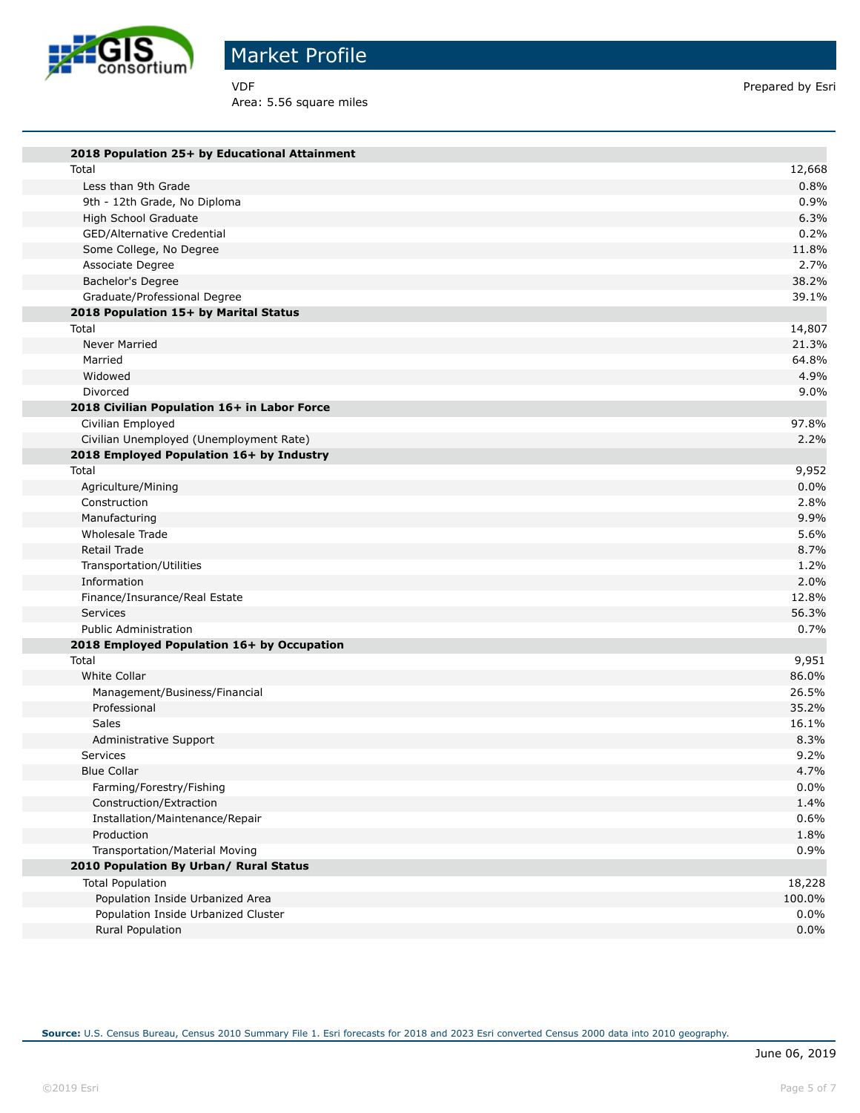

Area: 5.56 square miles

VDF Prepared by Esri

| 2018 Population 25+ by Educational Attainment |         |
|-----------------------------------------------|---------|
| Total                                         | 12,668  |
| Less than 9th Grade                           | 0.8%    |
| 9th - 12th Grade, No Diploma                  | 0.9%    |
| High School Graduate                          | 6.3%    |
| GED/Alternative Credential                    | 0.2%    |
| Some College, No Degree                       | 11.8%   |
| Associate Degree                              | 2.7%    |
| Bachelor's Degree                             | 38.2%   |
| Graduate/Professional Degree                  | 39.1%   |
| 2018 Population 15+ by Marital Status         |         |
| Total                                         | 14,807  |
| Never Married                                 | 21.3%   |
| Married                                       | 64.8%   |
| Widowed                                       | 4.9%    |
| Divorced                                      | 9.0%    |
| 2018 Civilian Population 16+ in Labor Force   |         |
| Civilian Employed                             | 97.8%   |
| Civilian Unemployed (Unemployment Rate)       | 2.2%    |
| 2018 Employed Population 16+ by Industry      |         |
| Total                                         | 9,952   |
| Agriculture/Mining                            | 0.0%    |
| Construction                                  | 2.8%    |
| Manufacturing                                 | 9.9%    |
| Wholesale Trade                               | 5.6%    |
| Retail Trade                                  | 8.7%    |
| Transportation/Utilities                      | 1.2%    |
| Information                                   | 2.0%    |
| Finance/Insurance/Real Estate                 | 12.8%   |
| Services                                      | 56.3%   |
| <b>Public Administration</b>                  | 0.7%    |
| 2018 Employed Population 16+ by Occupation    |         |
| Total                                         | 9,951   |
| White Collar                                  | 86.0%   |
| Management/Business/Financial                 | 26.5%   |
| Professional                                  | 35.2%   |
| Sales                                         | 16.1%   |
| Administrative Support                        | 8.3%    |
| Services                                      | 9.2%    |
| <b>Blue Collar</b>                            | 4.7%    |
| Farming/Forestry/Fishing                      | 0.0%    |
| Construction/Extraction                       | 1.4%    |
| Installation/Maintenance/Repair               | 0.6%    |
| Production                                    | 1.8%    |
| Transportation/Material Moving                | 0.9%    |
| 2010 Population By Urban/ Rural Status        |         |
| <b>Total Population</b>                       | 18,228  |
| Population Inside Urbanized Area              | 100.0%  |
| Population Inside Urbanized Cluster           | $0.0\%$ |
| Rural Population                              | 0.0%    |

**Source:** U.S. Census Bureau, Census 2010 Summary File 1. Esri forecasts for 2018 and 2023 Esri converted Census 2000 data into 2010 geography.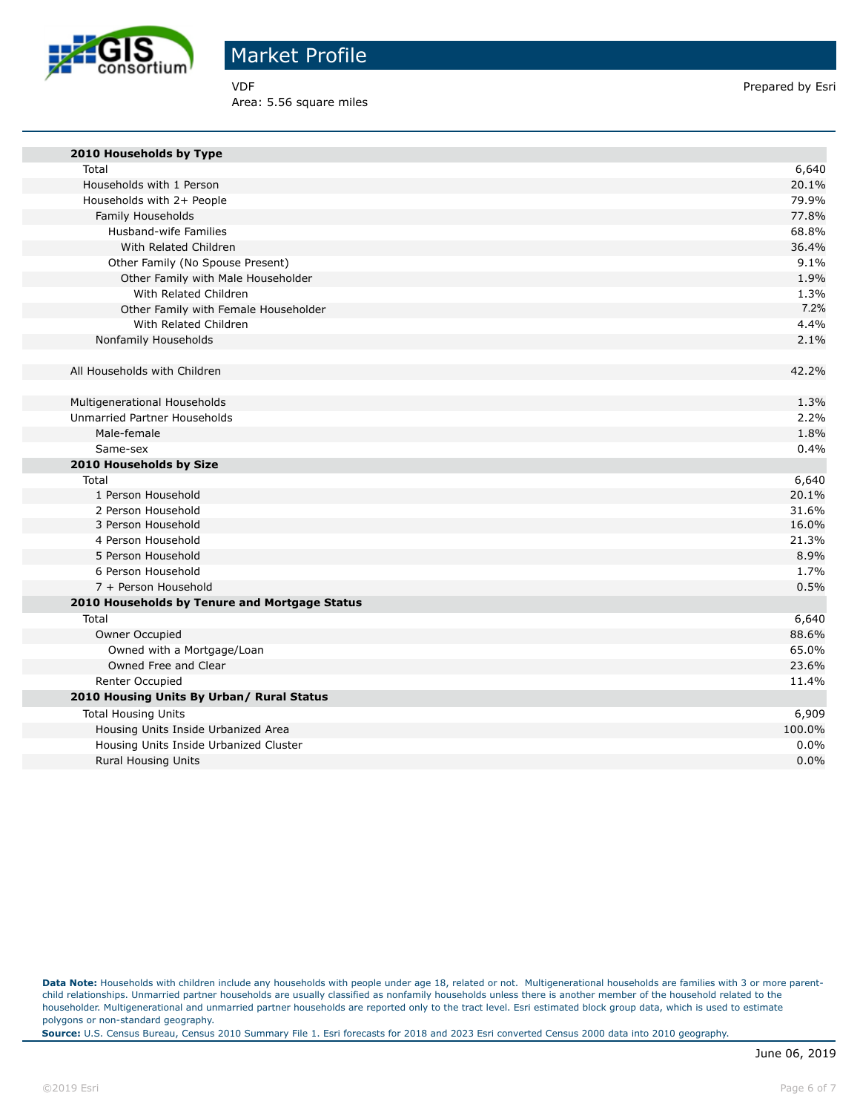

Area: 5.56 square miles

VDF **Prepared by Esri** 

| 2010 Households by Type                       |        |
|-----------------------------------------------|--------|
| Total                                         | 6,640  |
| Households with 1 Person                      | 20.1%  |
| Households with 2+ People                     | 79.9%  |
| Family Households                             | 77.8%  |
| Husband-wife Families                         | 68.8%  |
| With Related Children                         | 36.4%  |
| Other Family (No Spouse Present)              | 9.1%   |
| Other Family with Male Householder            | 1.9%   |
| With Related Children                         | 1.3%   |
| Other Family with Female Householder          | 7.2%   |
| With Related Children                         | 4.4%   |
| Nonfamily Households                          | 2.1%   |
| All Households with Children                  | 42.2%  |
|                                               |        |
| Multigenerational Households                  | 1.3%   |
| Unmarried Partner Households                  | 2.2%   |
| Male-female                                   | 1.8%   |
| Same-sex                                      | 0.4%   |
| 2010 Households by Size                       |        |
| Total                                         | 6,640  |
| 1 Person Household                            | 20.1%  |
| 2 Person Household                            | 31.6%  |
| 3 Person Household                            | 16.0%  |
| 4 Person Household                            | 21.3%  |
| 5 Person Household                            | 8.9%   |
| 6 Person Household                            | 1.7%   |
| 7 + Person Household                          | 0.5%   |
| 2010 Households by Tenure and Mortgage Status |        |
| Total                                         | 6,640  |
| Owner Occupied                                | 88.6%  |
| Owned with a Mortgage/Loan                    | 65.0%  |
| Owned Free and Clear                          | 23.6%  |
| Renter Occupied                               | 11.4%  |
| 2010 Housing Units By Urban/ Rural Status     |        |
| <b>Total Housing Units</b>                    | 6,909  |
| Housing Units Inside Urbanized Area           | 100.0% |
| Housing Units Inside Urbanized Cluster        | 0.0%   |
| <b>Rural Housing Units</b>                    | 0.0%   |

Data Note: Households with children include any households with people under age 18, related or not. Multigenerational households are families with 3 or more parentchild relationships. Unmarried partner households are usually classified as nonfamily households unless there is another member of the household related to the householder. Multigenerational and unmarried partner households are reported only to the tract level. Esri estimated block group data, which is used to estimate polygons or non-standard geography.

**Source:** U.S. Census Bureau, Census 2010 Summary File 1. Esri forecasts for 2018 and 2023 Esri converted Census 2000 data into 2010 geography.